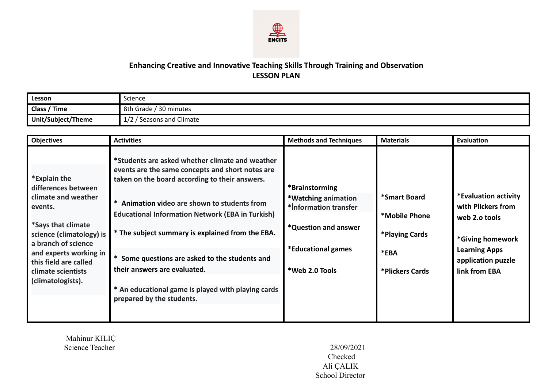

## **Enhancing Creative and Innovative Teaching Skills Through Training and Observation LESSON PLAN**

| Lesson             | Science                                  |
|--------------------|------------------------------------------|
| Class / Time       | 30 minutes<br>-8th<br><sup>,</sup> Grade |
| Unit/Subject/Theme | Seasons and Climate<br>$\sqrt{ }$<br>1/L |

| <b>Objectives</b>                                                                                                                                                                                                                            | <b>Activities</b>                                                                                                                                                                                                                                                                                                                                                                                                                                                                         | <b>Methods and Techniques</b>                                                                                                  | <b>Materials</b>                                                           | <b>Evaluation</b>                                                                                                                              |
|----------------------------------------------------------------------------------------------------------------------------------------------------------------------------------------------------------------------------------------------|-------------------------------------------------------------------------------------------------------------------------------------------------------------------------------------------------------------------------------------------------------------------------------------------------------------------------------------------------------------------------------------------------------------------------------------------------------------------------------------------|--------------------------------------------------------------------------------------------------------------------------------|----------------------------------------------------------------------------|------------------------------------------------------------------------------------------------------------------------------------------------|
| *Explain the<br>differences between<br>climate and weather<br>events.<br>*Says that climate<br>science (climatology) is<br>a branch of science<br>and experts working in<br>this field are called<br>climate scientists<br>(climatologists). | *Students are asked whether climate and weather<br>events are the same concepts and short notes are<br>taken on the board according to their answers.<br>* Animation video are shown to students from<br><b>Educational Information Network (EBA in Turkish)</b><br>* The subject summary is explained from the EBA.<br>* Some questions are asked to the students and<br>their answers are evaluated.<br>* An educational game is played with playing cards<br>prepared by the students. | *Brainstorming<br>*Watching animation<br>*Information transfer<br>*Question and answer<br>*Educational games<br>*Web 2.0 Tools | *Smart Board<br>*Mobile Phone<br>*Playing Cards<br>*EBA<br>*Plickers Cards | *Evaluation activity<br>with Plickers from<br>web 2.0 tools<br>*Giving homework<br><b>Learning Apps</b><br>application puzzle<br>link from EBA |

Mahinur KILIÇ Science Teacher 28/09/2021